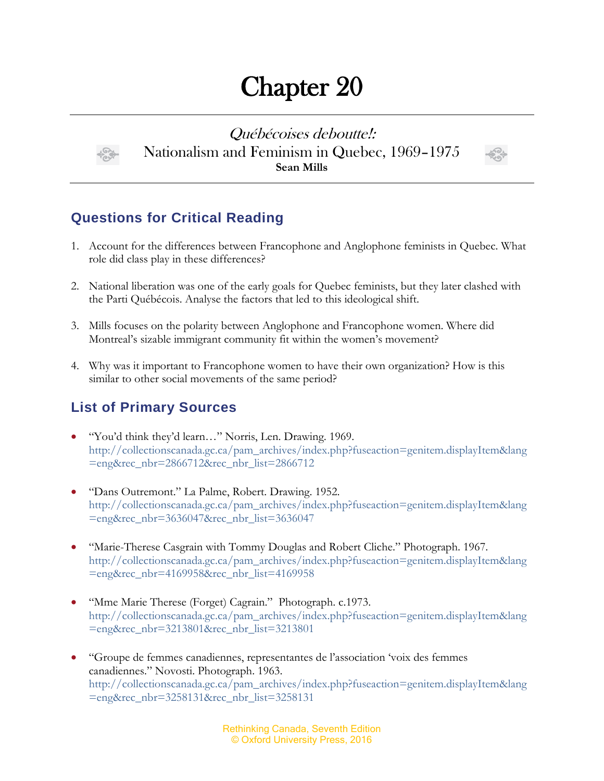## Chapter 20

Québécoises deboutte!: Nationalism and Feminism in Quebec, 1969–1975 **Sean Mills**



## **Questions for Critical Reading**

- 1. Account for the differences between Francophone and Anglophone feminists in Quebec. What role did class play in these differences?
- 2. National liberation was one of the early goals for Quebec feminists, but they later clashed with the Parti Québécois. Analyse the factors that led to this ideological shift.
- 3. Mills focuses on the polarity between Anglophone and Francophone women. Where did Montreal's sizable immigrant community fit within the women's movement?
- 4. Why was it important to Francophone women to have their own organization? How is this similar to other social movements of the same period?

## **List of Primary Sources**

- "You'd think they'd learn…" Norris, Len. Drawing. 1969. [http://collectionscanada.gc.ca/pam\\_archives/index.php?fuseaction=genitem.displayItem&lang](http://collectionscanada.gc.ca/pam_archives/index.php?fuseaction=genitem.displayItem&lang=eng&rec_nbr=2866712&rec_nbr_list=2866712) [=eng&rec\\_nbr=2866712&rec\\_nbr\\_list=2866712](http://collectionscanada.gc.ca/pam_archives/index.php?fuseaction=genitem.displayItem&lang=eng&rec_nbr=2866712&rec_nbr_list=2866712)
- "Dans Outremont." La Palme, Robert. Drawing. 1952. [http://collectionscanada.gc.ca/pam\\_archives/index.php?fuseaction=genitem.displayItem&lang](http://collectionscanada.gc.ca/pam_archives/index.php?fuseaction=genitem.displayItem&lang=eng&rec_nbr=3636047&rec_nbr_list=3636047) [=eng&rec\\_nbr=3636047&rec\\_nbr\\_list=3636047](http://collectionscanada.gc.ca/pam_archives/index.php?fuseaction=genitem.displayItem&lang=eng&rec_nbr=3636047&rec_nbr_list=3636047)
- "Marie-Therese Casgrain with Tommy Douglas and Robert Cliche." Photograph. 1967. [http://collectionscanada.gc.ca/pam\\_archives/index.php?fuseaction=genitem.displayItem&lang](http://collectionscanada.gc.ca/pam_archives/index.php?fuseaction=genitem.displayItem&lang=eng&rec_nbr=4169958&rec_nbr_list=4169958) [=eng&rec\\_nbr=4169958&rec\\_nbr\\_list=4169958](http://collectionscanada.gc.ca/pam_archives/index.php?fuseaction=genitem.displayItem&lang=eng&rec_nbr=4169958&rec_nbr_list=4169958)
- "Mme Marie Therese (Forget) Cagrain." Photograph. c.1973. [http://collectionscanada.gc.ca/pam\\_archives/index.php?fuseaction=genitem.displayItem&lang](http://collectionscanada.gc.ca/pam_archives/index.php?fuseaction=genitem.displayItem&lang=eng&rec_nbr=3213801&rec_nbr_list=3213801) [=eng&rec\\_nbr=3213801&rec\\_nbr\\_list=3213801](http://collectionscanada.gc.ca/pam_archives/index.php?fuseaction=genitem.displayItem&lang=eng&rec_nbr=3213801&rec_nbr_list=3213801)
- "Groupe de femmes canadiennes, representantes de l'association 'voix des femmes canadiennes." Novosti. Photograph. 1963. [http://collectionscanada.gc.ca/pam\\_archives/index.php?fuseaction=genitem.displayItem&lang](http://collectionscanada.gc.ca/pam_archives/index.php?fuseaction=genitem.displayItem&lang=eng&rec_nbr=3258131&rec_nbr_list=3258131) [=eng&rec\\_nbr=3258131&rec\\_nbr\\_list=3258131](http://collectionscanada.gc.ca/pam_archives/index.php?fuseaction=genitem.displayItem&lang=eng&rec_nbr=3258131&rec_nbr_list=3258131)

Rethinking Canada, Seventh Edition © Oxford University Press, 2016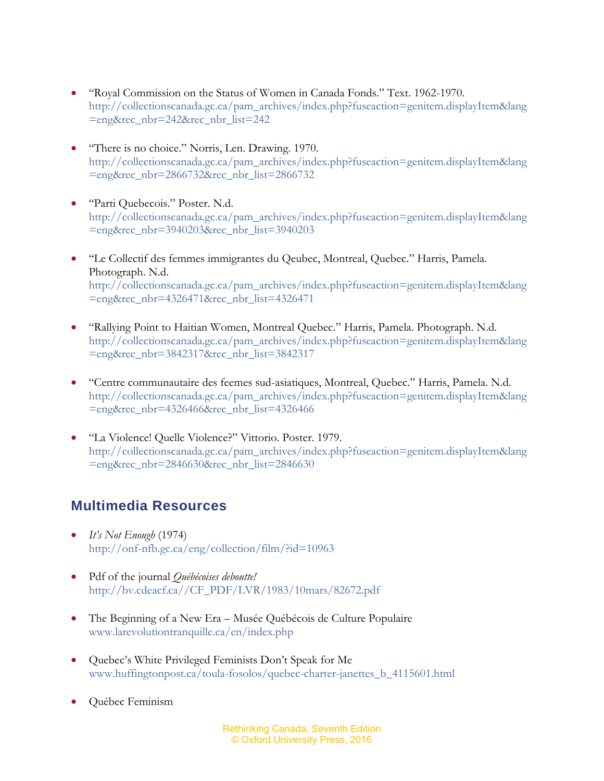- "Royal Commission on the Status of Women in Canada Fonds." Text. 1962-1970. [http://collectionscanada.gc.ca/pam\\_archives/index.php?fuseaction=genitem.displayItem&lang](http://collectionscanada.gc.ca/pam_archives/index.php?fuseaction=genitem.displayItem&lang=eng&rec_nbr=242&rec_nbr_list=242) [=eng&rec\\_nbr=242&rec\\_nbr\\_list=242](http://collectionscanada.gc.ca/pam_archives/index.php?fuseaction=genitem.displayItem&lang=eng&rec_nbr=242&rec_nbr_list=242)
- "There is no choice." Norris, Len. Drawing. 1970. [http://collectionscanada.gc.ca/pam\\_archives/index.php?fuseaction=genitem.displayItem&lang](http://collectionscanada.gc.ca/pam_archives/index.php?fuseaction=genitem.displayItem&lang=eng&rec_nbr=2866732&rec_nbr_list=2866732) [=eng&rec\\_nbr=2866732&rec\\_nbr\\_list=2866732](http://collectionscanada.gc.ca/pam_archives/index.php?fuseaction=genitem.displayItem&lang=eng&rec_nbr=2866732&rec_nbr_list=2866732)
- "Parti Quebecois." Poster. N.d. [http://collectionscanada.gc.ca/pam\\_archives/index.php?fuseaction=genitem.displayItem&lang](http://collectionscanada.gc.ca/pam_archives/index.php?fuseaction=genitem.displayItem&lang=eng&rec_nbr=3940203&rec_nbr_list=3940203) [=eng&rec\\_nbr=3940203&rec\\_nbr\\_list=3940203](http://collectionscanada.gc.ca/pam_archives/index.php?fuseaction=genitem.displayItem&lang=eng&rec_nbr=3940203&rec_nbr_list=3940203)
- "Le Collectif des femmes immigrantes du Qeubec, Montreal, Quebec." Harris, Pamela. Photograph. N.d. [http://collectionscanada.gc.ca/pam\\_archives/index.php?fuseaction=genitem.displayItem&lang](http://collectionscanada.gc.ca/pam_archives/index.php?fuseaction=genitem.displayItem&lang=eng&rec_nbr=4326471&rec_nbr_list=4326471) [=eng&rec\\_nbr=4326471&rec\\_nbr\\_list=4326471](http://collectionscanada.gc.ca/pam_archives/index.php?fuseaction=genitem.displayItem&lang=eng&rec_nbr=4326471&rec_nbr_list=4326471)
- "Rallying Point to Haitian Women, Montreal Quebec." Harris, Pamela. Photograph. N.d. [http://collectionscanada.gc.ca/pam\\_archives/index.php?fuseaction=genitem.displayItem&lang](http://collectionscanada.gc.ca/pam_archives/index.php?fuseaction=genitem.displayItem&lang=eng&rec_nbr=3842317&rec_nbr_list=3842317) [=eng&rec\\_nbr=3842317&rec\\_nbr\\_list=3842317](http://collectionscanada.gc.ca/pam_archives/index.php?fuseaction=genitem.displayItem&lang=eng&rec_nbr=3842317&rec_nbr_list=3842317)
- "Centre communautaire des feemes sud-asiatiques, Montreal, Quebec." Harris, Pamela. N.d. [http://collectionscanada.gc.ca/pam\\_archives/index.php?fuseaction=genitem.displayItem&lang](http://collectionscanada.gc.ca/pam_archives/index.php?fuseaction=genitem.displayItem&lang=eng&rec_nbr=4326466&rec_nbr_list=4326466) [=eng&rec\\_nbr=4326466&rec\\_nbr\\_list=4326466](http://collectionscanada.gc.ca/pam_archives/index.php?fuseaction=genitem.displayItem&lang=eng&rec_nbr=4326466&rec_nbr_list=4326466)
- "La Violence! Quelle Violence?" Vittorio. Poster. 1979. [http://collectionscanada.gc.ca/pam\\_archives/index.php?fuseaction=genitem.displayItem&lang](http://collectionscanada.gc.ca/pam_archives/index.php?fuseaction=genitem.displayItem&lang=eng&rec_nbr=2846630&rec_nbr_list=2846630) [=eng&rec\\_nbr=2846630&rec\\_nbr\\_list=2846630](http://collectionscanada.gc.ca/pam_archives/index.php?fuseaction=genitem.displayItem&lang=eng&rec_nbr=2846630&rec_nbr_list=2846630)

## **Multimedia Resources**

- $\bullet$  *It*<sup> $\prime$ </sup>*s Not Enough* (1974) <http://onf-nfb.gc.ca/eng/collection/film/?id=10963>
- Pdf of the journal *Québécoises deboutte!*  [http://bv.cdeacf.ca//CF\\_PDF/LVR/1983/10mars/82672.pdf](http://bv.cdeacf.ca/CF_PDF/LVR/1983/10mars/82672.pdf)
- The Beginning of a New Era Musée Québécois de Culture Populaire [www.larevolutiontranquille.ca/en/index.php](http://www.larevolutiontranquille.ca/en/index.php)
- Quebec's White Privileged Feminists Don't Speak for Me [www.huffingtonpost.ca/toula-fosolos/quebec-charter-janettes\\_b\\_4115601.html](http://www.huffingtonpost.ca/toula-fosolos/quebec-charter-janettes_b_4115601.html)
- Québec Feminism

Rethinking Canada, Seventh Edition © Oxford University Press, 2016